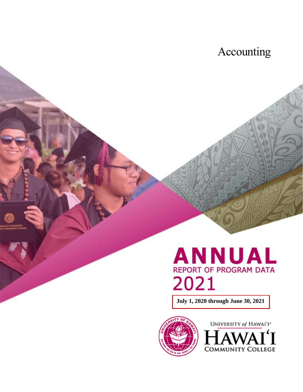# Accounting

# **ANNUAL REPORT OF PROGRAM DATA** 2021

**July 1, 2020 through June 30, 2021**



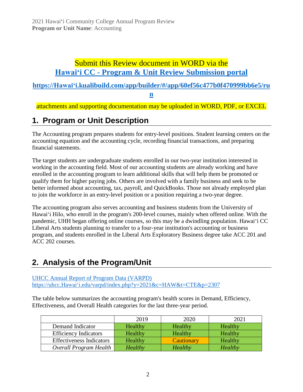### Submit this Review document in WORD via the **Hawaiʻi CC - [Program & Unit Review Submission portal](https://hawaii.kualibuild.com/app/builder/#/app/60ef56c477b0f470999bb6e5/run)**

**[https://Hawaiʻi.kualibuild.com/app/builder/#/app/60ef56c477b0f470999bb6e5/ru](https://hawaii.kualibuild.com/app/builder/#/app/60ef56c477b0f470999bb6e5/run)**

**[n](https://hawaii.kualibuild.com/app/builder/#/app/60ef56c477b0f470999bb6e5/run)**

attachments and supporting documentation may be uploaded in WORD, PDF, or EXCEL

### **1. Program or Unit Description**

The Accounting program prepares students for entry-level positions. Student learning centers on the accounting equation and the accounting cycle, recording financial transactions, and preparing financial statements.

The target students are undergraduate students enrolled in our two-year institution interested in working in the accounting field. Most of our accounting students are already working and have enrolled in the accounting program to learn additional skills that will help them be promoted or qualify them for higher paying jobs. Others are involved with a family business and seek to be better informed about accounting, tax, payroll, and QuickBooks. Those not already employed plan to join the workforce in an entry-level position or a position requiring a two-year degree.

The accounting program also serves accounting and business students from the University of Hawai'i Hilo, who enroll in the program's 200-level courses, mainly when offered online. With the pandemic, UHH began offering online courses, so this may be a dwindling population. Hawaiʻi CC Liberal Arts students planning to transfer to a four-year institution's accounting or business program, and students enrolled in the Liberal Arts Exploratory Business degree take ACC 201 and ACC 202 courses.

### **2. Analysis of the Program/Unit**

[UHCC Annual Report of Program Data \(VARPD\)](https://uhcc.hawaii.edu/varpd/) [https://uhcc.Hawaiʻi.edu/varpd/index.php?y=2021&c=HAW&t=CTE&p=2307](https://uhcc.hawaii.edu/varpd/index.php?y=2021&c=HAW&t=CTE&p=2307)

The table below summarizes the accounting program's health scores in Demand, Efficiency, Effectiveness, and Overall Health categories for the last three-year period.

|                                 | 2019    | 2020           | 2021    |
|---------------------------------|---------|----------------|---------|
| Demand Indicator                | Healthy | Healthy        | Healthy |
| <b>Efficiency Indicators</b>    | Healthy | Healthy        | Healthy |
| <b>Effectiveness Indicators</b> | Healthy | Cautionary     | Healthy |
| Overall Program Health          | Healthy | <b>Healthy</b> | Healthy |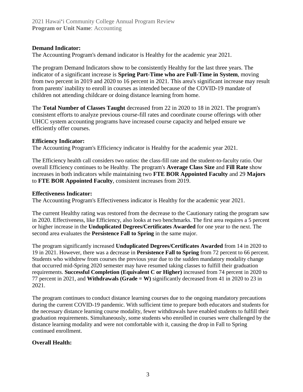#### **Demand Indicator:**

The Accounting Program's demand indicator is Healthy for the academic year 2021.

The program Demand Indicators show to be consistently Healthy for the last three years. The indicator of a significant increase is **Spring Part-Time who are Full-Time in System**, moving from two percent in 2019 and 2020 to 16 percent in 2021. This area's significant increase may result from parents' inability to enroll in courses as intended because of the COVID-19 mandate of children not attending childcare or doing distance learning from home.

The **Total Number of Classes Taught** decreased from 22 in 2020 to 18 in 2021. The program's consistent efforts to analyze previous course-fill rates and coordinate course offerings with other UHCC system accounting programs have increased course capacity and helped ensure we efficiently offer courses.

#### **Efficiency Indicator:**

The Accounting Program's Efficiency indicator is Healthy for the academic year 2021.

The Efficiency health call considers two ratios: the class-fill rate and the student-to-faculty ratio. Our overall Efficiency continues to be Healthy. The program's **Average Class Size** and **Fill Rate** show increases in both indicators while maintaining two **FTE BOR Appointed Faculty** and 29 **Majors**  to **FTE BOR Appointed Faculty**, consistent increases from 2019.

#### **Effectiveness Indicator:**

The Accounting Program's Effectiveness indicator is Healthy for the academic year 2021.

The current Healthy rating was restored from the decrease to the Cautionary rating the program saw in 2020. Effectiveness, like Efficiency, also looks at two benchmarks. The first area requires a 5 percent or higher increase in the **Unduplicated Degrees/Certificates Awarded** for one year to the next. The second area evaluates the **Persistence Fall to Spring** in the same major.

The program significantly increased **Unduplicated Degrees/Certificates Awarded** from 14 in 2020 to 19 in 2021. However, there was a decrease in **Persistence Fall to Spring** from 72 percent to 66 percent. Students who withdrew from courses the previous year due to the sudden mandatory modality change that occurred mid-Spring 2020 semester may have resumed taking classes to fulfill their graduation requirements. **Successful Completion (Equivalent C or Higher)** increased from 74 percent in 2020 to 77 percent in 2021, and **Withdrawals (Grade = W)** significantly decreased from 41 in 2020 to 23 in 2021.

The program continues to conduct distance learning courses due to the ongoing mandatory precautions during the current COVID-19 pandemic. With sufficient time to prepare both educators and students for the necessary distance learning course modality, fewer withdrawals have enabled students to fulfill their graduation requirements. Simultaneously, some students who enrolled in courses were challenged by the distance learning modality and were not comfortable with it, causing the drop in Fall to Spring continued enrollment.

#### **Overall Health:**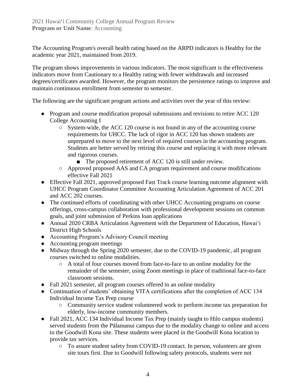The Accounting Program's overall health rating based on the ARPD indicators is Healthy for the academic year 2021, maintained from 2019.

The program shows improvements in various indicators. The most significant is the effectiveness indicators move from Cautionary to a Healthy rating with fewer withdrawals and increased degrees/certificates awarded. However, the program monitors the persistence ratings to improve and maintain continuous enrollment from semester to semester.

The following are the significant program actions and activities over the year of this review:

- Program and course modification proposal submissions and revisions to retire ACC 120 College Accounting I
	- $\circ$  System-wide, the ACC 120 course is not found in any of the accounting course requirements for UHCC. The lack of rigor in ACC 120 has shown students are unprepared to move to the next level of required courses in the accounting program. Students are better served by retiring this course and replacing it with more relevant and rigorous courses.
		- The proposed retirement of ACC 120 is still under review.
	- Approved proposed AAS and CA program requirement and course modifications effective Fall 2021
- Effective Fall 2021, approved proposed Fast Track course learning outcome alignment with UHCC Program Coordinator Committee Accounting Articulation Agreement of ACC 201 and ACC 202 courses.
- The continued efforts of coordinating with other UHCC Accounting programs on course offerings, cross-campus collaboration with professional development sessions on common goals, and joint submission of Perkins loan applications
- Annual 2020 CRBA Articulation Agreement with the Department of Education, Hawaiʻi District High Schools
- Accounting Program's Advisory Council meeting
- Accounting program meetings
- Midway through the Spring 2020 semester, due to the COVID-19 pandemic, all program courses switched to online modalities.
	- A total of four courses moved from face-to-face to an online modality for the remainder of the semester, using Zoom meetings in place of traditional face-to-face classroom sessions.
- Fall 2021 semester, all program courses offered in an online modality
- Continuation of students' obtaining VITA certifications after the completion of ACC 134 Individual Income Tax Prep course
	- Community service student volunteered work to perform income tax preparation for elderly, low-income community members.
- Fall 2021, ACC 134 Individual Income Tax Prep (mainly taught to Hilo campus students) served students from the Pālamanui campus due to the modality change to online and access to the Goodwill Kona site. These students were placed in the Goodwill Kona location to provide tax services.
	- To assure student safety from COVID-19 contact. In person, volunteers are given site tours first. Due to Goodwill following safety protocols, students were not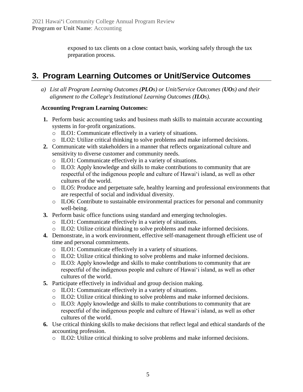exposed to tax clients on a close contact basis, working safely through the tax preparation process.

### **3. Program Learning Outcomes or Unit/Service Outcomes**

*a) List all Program Learning Outcomes (PLOs) or Unit/Service Outcomes (UOs) and their alignment to the College's Institutional Learning Outcomes (ILOs).*

#### **Accounting Program Learning Outcomes:**

- **1.** Perform basic accounting tasks and business math skills to maintain accurate accounting systems in for-profit organizations.
	- o ILO1: Communicate effectively in a variety of situations.
	- o ILO2: Utilize critical thinking to solve problems and make informed decisions.
- **2.** Communicate with stakeholders in a manner that reflects organizational culture and sensitivity to diverse customer and community needs.
	- o ILO1: Communicate effectively in a variety of situations.
	- o ILO3: Apply knowledge and skills to make contributions to community that are respectful of the indigenous people and culture of Hawai'i island, as well as other cultures of the world.
	- o ILO5: Produce and perpetuate safe, healthy learning and professional environments that are respectful of social and individual diversity.
	- o ILO6: Contribute to sustainable environmental practices for personal and community well-being.
- **3.** Perform basic office functions using standard and emerging technologies.
	- o ILO1: Communicate effectively in a variety of situations.
	- o ILO2: Utilize critical thinking to solve problems and make informed decisions.
- **4.** Demonstrate, in a work environment, effective self-management through efficient use of time and personal commitments.
	- o ILO1: Communicate effectively in a variety of situations.
	- o ILO2: Utilize critical thinking to solve problems and make informed decisions.
	- o ILO3: Apply knowledge and skills to make contributions to community that are respectful of the indigenous people and culture of Hawai'i island, as well as other cultures of the world.
- **5.** Participate effectively in individual and group decision making.
	- o ILO1: Communicate effectively in a variety of situations.
	- o ILO2: Utilize critical thinking to solve problems and make informed decisions.
	- o ILO3: Apply knowledge and skills to make contributions to community that are respectful of the indigenous people and culture of Hawai'i island, as well as other cultures of the world.
- **6.** Use critical thinking skills to make decisions that reflect legal and ethical standards of the accounting profession.
	- o ILO2: Utilize critical thinking to solve problems and make informed decisions.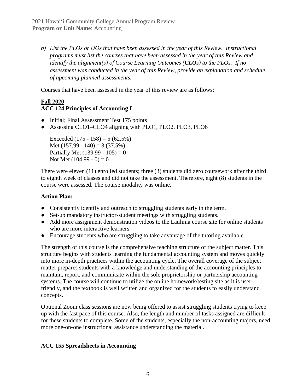*b) List the PLOs or UOs that have been assessed in the year of this Review. Instructional programs must list the courses that have been assessed in the year of this Review and identify the alignment(s) of Course Learning Outcomes (CLOs) to the PLOs. If no assessment was conducted in the year of this Review, provide an explanation and schedule of upcoming planned assessments.*

Courses that have been assessed in the year of this review are as follows:

#### **Fall 2020 ACC 124 Principles of Accounting I**

- Initial; Final Assessment Test 175 points
- Assessing CLO1–CLO4 aligning with PLO1, PLO2, PLO3, PLO6

Exceeded  $(175 - 158) = 5 (62.5%)$ Met  $(157.99 - 140) = 3 (37.5%)$ Partially Met (139.99 - 105) = 0 Not Met  $(104.99 - 0) = 0$ 

There were eleven (11) enrolled students; three (3) students did zero coursework after the third to eighth week of classes and did not take the assessment. Therefore, eight (8) students in the course were assessed. The course modality was online.

#### **Action Plan:**

- Consistently identify and outreach to struggling students early in the term.
- Set-up mandatory instructor-student meetings with struggling students.
- Add more assignment demonstration videos to the Laulima course site for online students who are more interactive learners.
- Encourage students who are struggling to take advantage of the tutoring available.

The strength of this course is the comprehensive teaching structure of the subject matter. This structure begins with students learning the fundamental accounting system and moves quickly into more in-depth practices within the accounting cycle. The overall coverage of the subject matter prepares students with a knowledge and understanding of the accounting principles to maintain, report, and communicate within the sole proprietorship or partnership accounting systems. The course will continue to utilize the online homework/testing site as it is userfriendly, and the textbook is well written and organized for the students to easily understand concepts.

Optional Zoom class sessions are now being offered to assist struggling students trying to keep up with the fast pace of this course. Also, the length and number of tasks assigned are difficult for these students to complete. Some of the students, especially the non-accounting majors, need more one-on-one instructional assistance understanding the material.

#### **ACC 155 Spreadsheets in Accounting**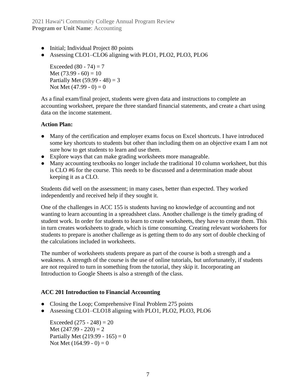2021 Hawai'i Community College Annual Program Review **Program or Unit Name: Accounting** 

- Initial; Individual Project 80 points
- Assessing CLO1–CLO6 aligning with PLO1, PLO2, PLO3, PLO6

Exceeded  $(80 - 74) = 7$ Met  $(73.99 - 60) = 10$ Partially Met (59.99 - 48) = 3 Not Met  $(47.99 - 0) = 0$ 

As a final exam/final project, students were given data and instructions to complete an accounting worksheet, prepare the three standard financial statements, and create a chart using data on the income statement.

#### **Action Plan:**

- Many of the certification and employer exams focus on Excel shortcuts. I have introduced some key shortcuts to students but other than including them on an objective exam I am not sure how to get students to learn and use them.
- Explore ways that can make grading worksheets more manageable.
- Many accounting textbooks no longer include the traditional 10 column worksheet, but this is CLO #6 for the course. This needs to be discussed and a determination made about keeping it as a CLO.

Students did well on the assessment; in many cases, better than expected. They worked independently and received help if they sought it.

One of the challenges in ACC 155 is students having no knowledge of accounting and not wanting to learn accounting in a spreadsheet class. Another challenge is the timely grading of student work. In order for students to learn to create worksheets, they have to create them. This in turn creates worksheets to grade, which is time consuming. Creating relevant worksheets for students to prepare is another challenge as is getting them to do any sort of double checking of the calculations included in worksheets.

The number of worksheets students prepare as part of the course is both a strength and a weakness. A strength of the course is the use of online tutorials, but unfortunately, if students are not required to turn in something from the tutorial, they skip it. Incorporating an Introduction to Google Sheets is also a strength of the class.

#### **ACC 201 Introduction to Financial Accounting**

- Closing the Loop; Comprehensive Final Problem 275 points
- Assessing CLO1–CLO18 aligning with PLO1, PLO2, PLO3, PLO6

Exceeded  $(275 - 248) = 20$ Met  $(247.99 - 220) = 2$ Partially Met (219.99 - 165) = 0 Not Met  $(164.99 - 0) = 0$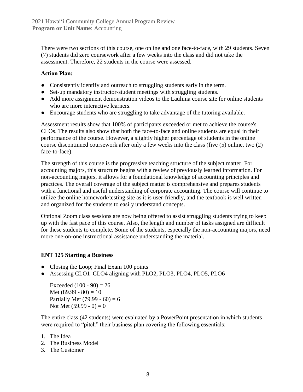There were two sections of this course, one online and one face-to-face, with 29 students. Seven (7) students did zero coursework after a few weeks into the class and did not take the assessment. Therefore, 22 students in the course were assessed.

#### **Action Plan:**

- Consistently identify and outreach to struggling students early in the term.
- Set-up mandatory instructor-student meetings with struggling students.
- Add more assignment demonstration videos to the Laulima course site for online students who are more interactive learners.
- Encourage students who are struggling to take advantage of the tutoring available.

Assessment results show that 100% of participants exceeded or met to achieve the course's CLOs. The results also show that both the face-to-face and online students are equal in their performance of the course. However, a slightly higher percentage of students in the online course discontinued coursework after only a few weeks into the class (five (5) online, two (2) face-to-face).

The strength of this course is the progressive teaching structure of the subject matter. For accounting majors, this structure begins with a review of previously learned information. For non-accounting majors, it allows for a foundational knowledge of accounting principles and practices. The overall coverage of the subject matter is comprehensive and prepares students with a functional and useful understanding of corporate accounting. The course will continue to utilize the online homework/testing site as it is user-friendly, and the textbook is well written and organized for the students to easily understand concepts.

Optional Zoom class sessions are now being offered to assist struggling students trying to keep up with the fast pace of this course. Also, the length and number of tasks assigned are difficult for these students to complete. Some of the students, especially the non-accounting majors, need more one-on-one instructional assistance understanding the material.

#### **ENT 125 Starting a Business**

- Closing the Loop; Final Exam 100 points
- Assessing CLO1–CLO4 aligning with PLO2, PLO3, PLO4, PLO5, PLO6

Exceeded  $(100 - 90) = 26$ Met  $(89.99 - 80) = 10$ Partially Met (79.99 - 60) = 6 Not Met  $(59.99 - 0) = 0$ 

The entire class (42 students) were evaluated by a PowerPoint presentation in which students were required to "pitch" their business plan covering the following essentials:

- 1. The Idea
- 2. The Business Model
- 3. The Customer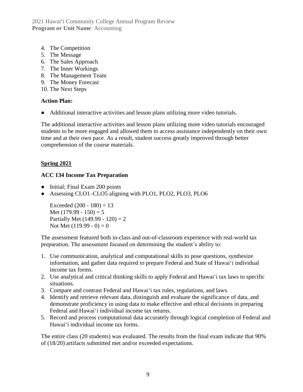2021 Hawai'i Community College Annual Program Review **Program or Unit Name: Accounting** 

- 4. The Competition
- 5. The Message
- 6. The Sales Approach
- 7. The Inner Workings
- 8. The Management Team
- 9. The Money Forecast
- 10. The Next Steps

#### **Action Plan:**

● Additional interactive activities and lesson plans utilizing more video tutorials.

The additional interactive activities and lesson plans utilizing more video tutorials encouraged students to be more engaged and allowed them to access assistance independently on their own time and at their own pace. As a result, student success greatly improved through better comprehension of the course materials.

#### **Spring 2021**

#### **ACC 134 Income Tax Preparation**

- Initial; Final Exam 200 points
- Assessing CLO1–CLO5 aligning with PLO1, PLO2, PLO3, PLO6

Exceeded  $(200 - 180) = 13$ Met  $(179.99 - 150) = 5$ Partially Met  $(149.99 - 120) = 2$ Not Met  $(119.99 - 0) = 0$ 

The assessment featured both in-class and out-of-classroom experience with real-world tax preparation. The assessment focused on determining the student's ability to:

- 1. Use communication, analytical and computational skills to pose questions, synthesize information, and gather data required to prepare Federal and State of Hawaiʻi individual income tax forms.
- 2. Use analytical and critical thinking skills to apply Federal and Hawaiʻi tax laws to specific situations.
- 3. Compare and contrast Federal and Hawaiʻi tax rules, regulations, and laws.
- 4. Identify and retrieve relevant data, distinguish and evaluate the significance of data, and demonstrate proficiency in using data to make effective and ethical decisions in preparing Federal and Hawaiʻi individual income tax returns.
- 5. Record and process computational data accurately through logical completion of Federal and Hawaiʻi individual income tax forms.

The entire class (20 students) was evaluated. The results from the final exam indicate that 90% of (18/20) artifacts submitted met and/or exceeded expectations.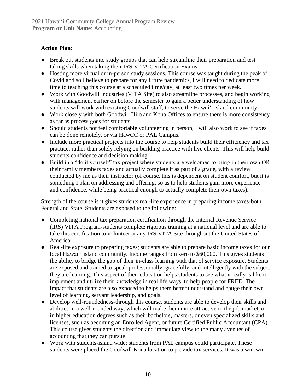#### **Action Plan:**

- Break out students into study groups that can help streamline their preparation and test taking skills when taking their IRS VITA Certification Exams.
- Hosting more virtual or in-person study sessions. This course was taught during the peak of Covid and so I believe to prepare for any future pandemics, I will need to dedicate more time to teaching this course at a scheduled time/day, at least two times per week.
- Work with Goodwill Industries (VITA Site) to also streamline processes, and begin working with management earlier on before the semester to gain a better understanding of how students will work with existing Goodwill staff, to serve the Hawaiʻi island community.
- Work closely with both Goodwill Hilo and Kona Offices to ensure there is more consistency as far as process goes for students.
- Should students not feel comfortable volunteering in person, I will also work to see if taxes can be done remotely, or via HawCC or PAL Campus.
- Include more practical projects into the course to help students build their efficiency and tax practice, rather than solely relying on building practice with live clients. This will help build students confidence and decision making.
- Build in a "do it yourself" tax project where students are welcomed to bring in their own OR their family members taxes and actually complete it as part of a grade, with a review conducted by me as their instructor (of course, this is dependent on student comfort, but it is something I plan on addressing and offering, so as to help students gain more experience and confidence, while being practical enough to actually complete their own taxes).

Strength of the course is it gives students real-life experience in preparing income taxes-both Federal and State. Students are exposed to the following:

- Completing national tax preparation certification through the Internal Revenue Service (IRS) VITA Program-students complete rigorous training at a national level and are able to take this certification to volunteer at any IRS VITA Site throughout the United States of America.
- Real-life exposure to preparing taxes; students are able to prepare basic income taxes for our local Hawai'i island community. Income ranges from zero to \$60,000. This gives students the ability to bridge the gap of their in-class learning with that of service exposure. Students are exposed and trained to speak professionally, gracefully, and intelligently with the subject they are learning. This aspect of their education helps students to see what it really is like to implement and utilize their knowledge in real life ways, to help people for FREE! The impact that students are also exposed to helps them better understand and gauge their own level of learning, servant leadership, and goals.
- Develop well-roundedness-through this course, students are able to develop their skills and abilities in a well-rounded way, which will make them more attractive in the job market, or in higher education degrees such as their bachelors, masters, or even specialized skills and licenses, such as becoming an Enrolled Agent, or future Certified Public Accountant (CPA). This course gives students the direction and immediate view to the many avenues of accounting that they can pursue!
- Work with students-island wide; students from PAL campus could participate. These students were placed the Goodwill Kona location to provide tax services. It was a win-win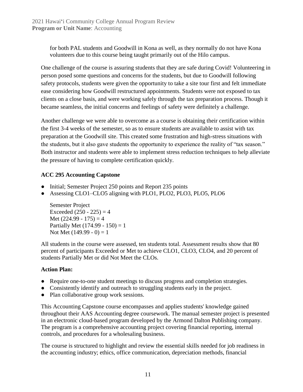for both PAL students and Goodwill in Kona as well, as they normally do not have Kona volunteers due to this course being taught primarily out of the Hilo campus.

One challenge of the course is assuring students that they are safe during Covid! Volunteering in person posed some questions and concerns for the students, but due to Goodwill following safety protocols, students were given the opportunity to take a site tour first and felt immediate ease considering how Goodwill restructured appointments. Students were not exposed to tax clients on a close basis, and were working safely through the tax preparation process. Though it became seamless, the initial concerns and feelings of safety were definitely a challenge.

Another challenge we were able to overcome as a course is obtaining their certification within the first 3-4 weeks of the semester, so as to ensure students are available to assist with tax preparation at the Goodwill site. This created some frustration and high-stress situations with the students, but it also gave students the opportunity to experience the reality of "tax season." Both instructor and students were able to implement stress reduction techniques to help alleviate the pressure of having to complete certification quickly.

#### **ACC 295 Accounting Capstone**

- Initial; Semester Project 250 points and Report 235 points
- Assessing CLO1–CLO5 aligning with PLO1, PLO2, PLO3, PLO5, PLO6

Semester Project Exceeded  $(250 - 225) = 4$ Met  $(224.99 - 175) = 4$ Partially Met  $(174.99 - 150) = 1$ Not Met  $(149.99 - 0) = 1$ 

All students in the course were assessed, ten students total. Assessment results show that 80 percent of participants Exceeded or Met to achieve CLO1, CLO3, CLO4, and 20 percent of students Partially Met or did Not Meet the CLOs.

#### **Action Plan:**

- Require one-to-one student meetings to discuss progress and completion strategies.
- Consistently identify and outreach to struggling students early in the project.
- Plan collaborative group work sessions.

This Accounting Capstone course encompasses and applies students' knowledge gained throughout their AAS Accounting degree coursework. The manual semester project is presented in an electronic cloud-based program developed by the Armond Dalton Publishing company. The program is a comprehensive accounting project covering financial reporting, internal controls, and procedures for a wholesaling business.

The course is structured to highlight and review the essential skills needed for job readiness in the accounting industry; ethics, office communication, depreciation methods, financial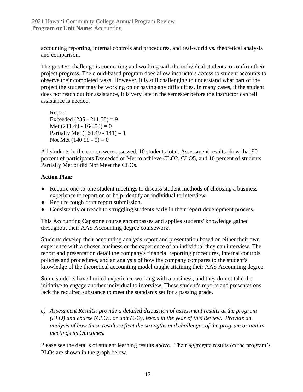accounting reporting, internal controls and procedures, and real-world vs. theoretical analysis and comparison.

The greatest challenge is connecting and working with the individual students to confirm their project progress. The cloud-based program does allow instructors access to student accounts to observe their completed tasks. However, it is still challenging to understand what part of the project the student may be working on or having any difficulties. In many cases, if the student does not reach out for assistance, it is very late in the semester before the instructor can tell assistance is needed.

Report Exceeded  $(235 - 211.50) = 9$ Met  $(211.49 - 164.50) = 0$ Partially Met  $(164.49 - 141) = 1$ Not Met  $(140.99 - 0) = 0$ 

All students in the course were assessed, 10 students total. Assessment results show that 90 percent of participants Exceeded or Met to achieve CLO2, CLO5, and 10 percent of students Partially Met or did Not Meet the CLOs.

#### **Action Plan:**

- Require one-to-one student meetings to discuss student methods of choosing a business experience to report on or help identify an individual to interview.
- Require rough draft report submission.
- Consistently outreach to struggling students early in their report development process.

This Accounting Capstone course encompasses and applies students' knowledge gained throughout their AAS Accounting degree coursework.

Students develop their accounting analysis report and presentation based on either their own experience with a chosen business or the experience of an individual they can interview. The report and presentation detail the company's financial reporting procedures, internal controls policies and procedures, and an analysis of how the company compares to the student's knowledge of the theoretical accounting model taught attaining their AAS Accounting degree.

Some students have limited experience working with a business, and they do not take the initiative to engage another individual to interview. These student's reports and presentations lack the required substance to meet the standards set for a passing grade.

*c) Assessment Results: provide a detailed discussion of assessment results at the program (PLO) and course (CLO), or unit (UO), levels in the year of this Review. Provide an analysis of how these results reflect the strengths and challenges of the program or unit in meetings its Outcomes.*

Please see the details of student learning results above. Their aggregate results on the program's PLOs are shown in the graph below.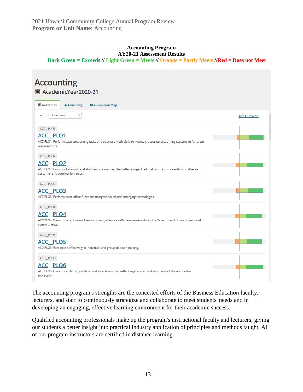#### **Accounting Program AY20-21 Assessment Results**

**Dark Green = Exceeds // Light Green = Meets // Orange = Partly Meets //Red = Does not Meet**

## **Accounting**

AcademicYear2020-21

| <b>■</b> Outcomes<br>A Taxonomy<br><b>E</b> Curriculum Map                                                                                                                          |               |  |  |  |
|-------------------------------------------------------------------------------------------------------------------------------------------------------------------------------------|---------------|--|--|--|
| Term:<br>Overview<br>v                                                                                                                                                              | Add Outcome - |  |  |  |
| ACC_PLO1<br><b>ACC PLO1</b><br>ACC PLO1: Perform basic accounting tasks and business math skills to maintain accurate accounting systems in for-profit<br>organizations.            |               |  |  |  |
| ACC_PLO2<br><b>ACC PLO2</b><br>ACC PLO2: Communicate with stakeholders in a manner that reflects organizational culture and sensitivity to diverse<br>customer and community needs. |               |  |  |  |
| ACC_PLO3<br><u>ACC PLO3</u><br>ACC PLO3: Perform basic office functions using standard and emerging technologies.                                                                   |               |  |  |  |
| ACC_PLO4<br><b>ACC PLO4</b><br>ACC PLO4: Demonstrate, in a work enviornment, effective self-management through efficient use of time and personal<br>commitments.                   |               |  |  |  |
| ACC_PLO5<br>ACC PLO5<br>ACC PLO5: Participate effectively in individual and group decision making.                                                                                  |               |  |  |  |
| ACC_PLO6<br><b>ACC PLO6</b><br>ACC PLO6: Use critical thinking skills to make decisions that reflect legal and ethical standards of the accounting<br>profession.                   |               |  |  |  |

The accounting program's strengths are the concerted efforts of the Business Education faculty, lecturers, and staff to continuously strategize and collaborate to meet students' needs and in developing an engaging, effective learning environment for their academic success.

Qualified accounting professionals make up the program's instructional faculty and lecturers, giving our students a better insight into practical industry application of principles and methods taught. All of our program instructors are certified in distance learning.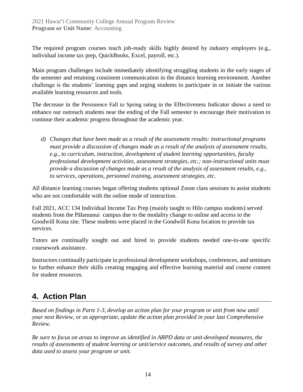The required program courses teach job-ready skills highly desired by industry employers (e.g., individual income tax prep, QuickBooks, Excel, payroll, etc.).

Main program challenges include immediately identifying struggling students in the early stages of the semester and retaining consistent communication in the distance learning environment. Another challenge is the students' learning gaps and urging students to participate in or initiate the various available learning resources and tools.

The decrease in the Persistence Fall to Spring rating in the Effectiveness Indicator shows a need to enhance our outreach students near the ending of the Fall semester to encourage their motivation to continue their academic progress throughout the academic year.

*d) Changes that have been made as a result of the assessment results: instructional programs must provide a discussion of changes made as a result of the analysis of assessment results, e.g., to curriculum, instruction, development of student learning opportunities, faculty professional development activities, assessment strategies, etc.; non-instructional units must provide a discussion of changes made as a result of the analysis of assessment results, e.g., to services, operations, personnel training, assessment strategies, etc.*

All distance learning courses began offering students optional Zoom class sessions to assist students who are not comfortable with the online mode of instruction.

Fall 2021, ACC 134 Individual Income Tax Prep (mainly taught to Hilo campus students) served students from the Pālamanui campus due to the modality change to online and access to the Goodwill Kona site. These students were placed in the Goodwill Kona location to provide tax services.

Tutors are continually sought out and hired to provide students needed one-to-one specific coursework assistance.

Instructors continually participate in professional development workshops, conferences, and seminars to further enhance their skills creating engaging and effective learning material and course content for student resources.

### **4. Action Plan**

*Based on findings in Parts 1-3, develop an action plan for your program or unit from now until your next Review, or as appropriate, update the action plan provided in your last Comprehensive Review.*

*Be sure to focus on areas to improve as identified in ARPD data or unit-developed measures, the results of assessments of student learning or unit/service outcomes, and results of survey and other data used to assess your program or unit.*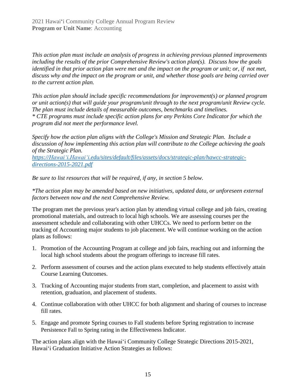*This action plan must include an analysis of progress in achieving previous planned improvements including the results of the prior Comprehensive Review's action plan(s). Discuss how the goals identified in that prior action plan were met and the impact on the program or unit; or, if not met, discuss why and the impact on the program or unit, and whether those goals are being carried over to the current action plan.* 

*This action plan should include specific recommendations for improvement(s) or planned program or unit action(s) that will guide your program/unit through to the next program/unit Review cycle. The plan must include details of measurable outcomes, benchmarks and timelines. \* CTE programs must include specific action plans for any Perkins Core Indicator for which the program did not meet the performance level.*

*Specify how the action plan aligns with the College's Mission and Strategic Plan. Include a discussion of how implementing this action plan will contribute to the College achieving the goals of the Strategic Plan.* 

*[https://Hawaiʻi.Hawaiʻi.edu/sites/default/files/assets/docs/strategic-plan/hawcc-strategic](https://hawaii.hawaii.edu/sites/default/files/assets/docs/strategic-plan/hawcc-strategic-directions-2015-2021.pdf)[directions-2015-2021.pdf](https://hawaii.hawaii.edu/sites/default/files/assets/docs/strategic-plan/hawcc-strategic-directions-2015-2021.pdf)*

*Be sure to list resources that will be required, if any, in section 5 below.*

*\*The action plan may be amended based on new initiatives, updated data, or unforeseen external factors between now and the next Comprehensive Review.*

The program met the previous year's action plan by attending virtual college and job fairs, creating promotional materials, and outreach to local high schools. We are assessing courses per the assessment schedule and collaborating with other UHCCs. We need to perform better on the tracking of Accounting major students to job placement. We will continue working on the action plans as follows:

- 1. Promotion of the Accounting Program at college and job fairs, reaching out and informing the local high school students about the program offerings to increase fill rates.
- 2. Perform assessment of courses and the action plans executed to help students effectively attain Course Learning Outcomes.
- 3. Tracking of Accounting major students from start, completion, and placement to assist with retention, graduation, and placement of students.
- 4. Continue collaboration with other UHCC for both alignment and sharing of courses to increase fill rates.
- 5. Engage and promote Spring courses to Fall students before Spring registration to increase Persistence Fall to Spring rating in the Effectiveness Indicator.

The action plans align with the Hawaiʻi Community College Strategic Directions 2015-2021, Hawaiʻi Graduation Initiative Action Strategies as follows: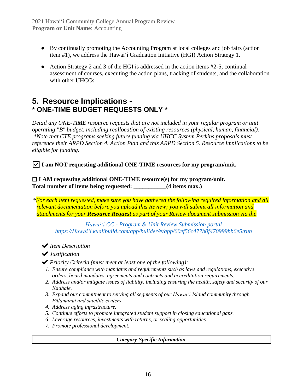- By continually promoting the Accounting Program at local colleges and job fairs (action item #1), we address the Hawaiʻi Graduation Initiative (HGI) Action Strategy 1.
- Action Strategy 2 and 3 of the HGI is addressed in the action items  $#2-5$ ; continual assessment of courses, executing the action plans, tracking of students, and the collaboration with other UHCCs.

### **5. Resource Implications - \* ONE-TIME BUDGET REQUESTS ONLY \***

*Detail any ONE-TIME resource requests that are not included in your regular program or unit operating "B" budget, including reallocation of existing resources (physical, human, financial). \*Note that CTE programs seeking future funding via UHCC System Perkins proposals must reference their ARPD Section 4. Action Plan and this ARPD Section 5. Resource Implications to be eligible for funding.*

☑ **I am NOT requesting additional ONE-TIME resources for my program/unit.**

☐ **I AM requesting additional ONE-TIME resource(s) for my program/unit.** Total number of items being requested:  $(4 \text{ items max.})$ 

*\*For each item requested, make sure you have gathered the following required information and all relevant documentation before you upload this Review; you will submit all information and attachments for your Resource Request as part of your Review document submission via the*

*Hawaiʻi CC - [Program & Unit Review Submission portal](https://hawaii.kualibuild.com/app/builder/#/app/60ef56c477b0f470999bb6e5/run) [https://Hawaiʻi.kualibuild.com/app/builder/#/app/60ef56c477b0f470999bb6e5/run](https://hawaii.kualibuild.com/app/builder/#/app/60ef56c477b0f470999bb6e5/run)*

✔*Item Description*

✔*Justification*

- ✔*Priority Criteria (must meet at least one of the following):*
	- *1. Ensure compliance with mandates and requirements such as laws and regulations, executive orders, board mandates, agreements and contracts and accreditation requirements.*
	- *2. Address and/or mitigate issues of liability, including ensuring the health, safety and security of our Kauhale.*
	- *3. Expand our commitment to serving all segments of our Hawaiʻi Island community through Pālamanui and satellite centers*
	- *4. Address aging infrastructure.*
	- *5. Continue efforts to promote integrated student support in closing educational gaps.*
	- *6. Leverage resources, investments with returns, or scaling opportunities*
	- *7. Promote professional development.*

*Category-Specific Information*